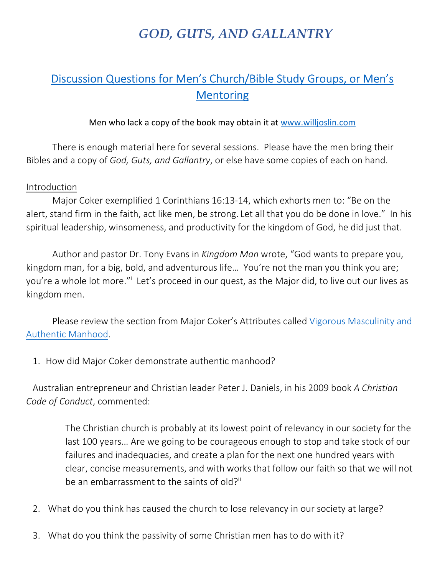## *GOD, GUTS, AND GALLANTRY*

## Discussion Questions for Men's Church/Bible Study Groups, or Men's **Mentoring**

## Men who lack a copy of the book may obtain it at www.willjoslin.com

There is enough material here for several sessions. Please have the men bring their Bibles and a copy of *God, Guts, and Gallantry*, or else have some copies of each on hand.

## Introduction

Major Coker exemplified 1 Corinthians 16:13-14, which exhorts men to: "Be on the alert, stand firm in the faith, act like men, be strong. Let all that you do be done in love." In his spiritual leadership, winsomeness, and productivity for the kingdom of God, he did just that.

Author and pastor Dr. Tony Evans in *Kingdom Man* wrote, "God wants to prepare you, kingdom man, for a big, bold, and adventurous life… You're not the man you think you are; you're a whole lot more."<sup>i</sup> Let's proceed in our quest, as the Major did, to live out our lives as kingdom men.

Please review the section from Major Coker's Attributes called Vigorous Masculinity and Authentic Manhood.

1. How did Major Coker demonstrate authentic manhood?

Australian entrepreneur and Christian leader Peter J. Daniels, in his 2009 book *A Christian Code of Conduct*, commented:

> The Christian church is probably at its lowest point of relevancy in our society for the last 100 years… Are we going to be courageous enough to stop and take stock of our failures and inadequacies, and create a plan for the next one hundred years with clear, concise measurements, and with works that follow our faith so that we will not be an embarrassment to the saints of old?<sup>ii</sup>

- 2. What do you think has caused the church to lose relevancy in our society at large?
- 3. What do you think the passivity of some Christian men has to do with it?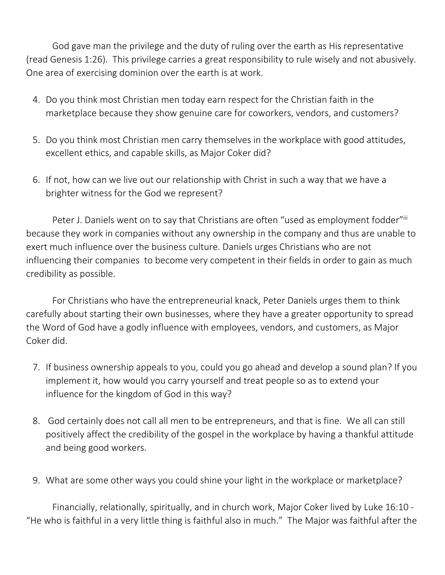God gave man the privilege and the duty of ruling over the earth as His representative (read Genesis 1:26). This privilege carries a great responsibility to rule wisely and not abusively. One area of exercising dominion over the earth is at work.

- 4. Do you think most Christian men today earn respect for the Christian faith in the marketplace because they show genuine care for coworkers, vendors, and customers?
- 5. Do you think most Christian men carry themselves in the workplace with good attitudes, excellent ethics, and capable skills, as Major Coker did?
- 6. If not, how can we live out our relationship with Christ in such a way that we have a brighter witness for the God we represent?

Peter J. Daniels went on to say that Christians are often "used as employment fodder"iii because they work in companies without any ownership in the company and thus are unable to exert much influence over the business culture. Daniels urges Christians who are not influencing their companies to become very competent in their fields in order to gain as much credibility as possible.

For Christians who have the entrepreneurial knack, Peter Daniels urges them to think carefully about starting their own businesses, where they have a greater opportunity to spread the Word of God have a godly influence with employees, vendors, and customers, as Major Coker did.

- 7. If business ownership appeals to you, could you go ahead and develop a sound plan? If you implement it, how would you carry yourself and treat people so as to extend your influence for the kingdom of God in this way?
- 8. God certainly does not call all men to be entrepreneurs, and that is fine. We all can still positively affect the credibility of the gospel in the workplace by having a thankful attitude and being good workers.
- 9. What are some other ways you could shine your light in the workplace or marketplace?

Financially, relationally, spiritually, and in church work, Major Coker lived by Luke 16:10 - "He who is faithful in a very little thing is faithful also in much." The Major was faithful after the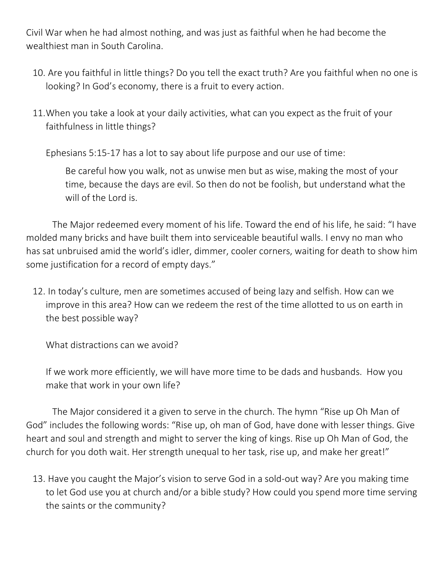Civil War when he had almost nothing, and was just as faithful when he had become the wealthiest man in South Carolina.

- 10. Are you faithful in little things? Do you tell the exact truth? Are you faithful when no one is looking? In God's economy, there is a fruit to every action.
- 11.When you take a look at your daily activities, what can you expect as the fruit of your faithfulness in little things?

Ephesians 5:15-17 has a lot to say about life purpose and our use of time:

Be careful how you walk, not as unwise men but as wise, making the most of your time, because the days are evil. So then do not be foolish, but understand what the will of the Lord is.

The Major redeemed every moment of his life. Toward the end of his life, he said: "I have molded many bricks and have built them into serviceable beautiful walls. I envy no man who has sat unbruised amid the world's idler, dimmer, cooler corners, waiting for death to show him some justification for a record of empty days."

12. In today's culture, men are sometimes accused of being lazy and selfish. How can we improve in this area? How can we redeem the rest of the time allotted to us on earth in the best possible way?

What distractions can we avoid?

If we work more efficiently, we will have more time to be dads and husbands. How you make that work in your own life?

The Major considered it a given to serve in the church. The hymn "Rise up Oh Man of God" includes the following words: "Rise up, oh man of God, have done with lesser things. Give heart and soul and strength and might to server the king of kings. Rise up Oh Man of God, the church for you doth wait. Her strength unequal to her task, rise up, and make her great!"

13. Have you caught the Major's vision to serve God in a sold-out way? Are you making time to let God use you at church and/or a bible study? How could you spend more time serving the saints or the community?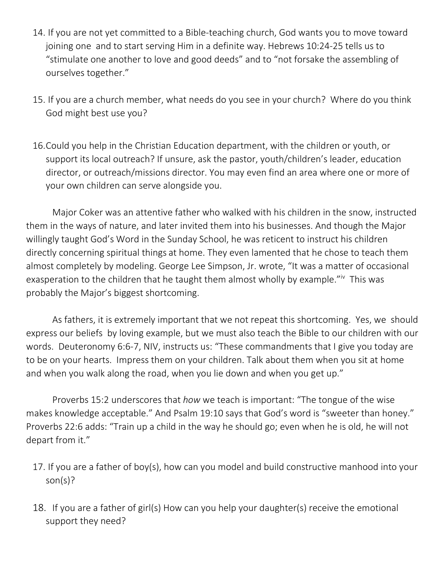- 14. If you are not yet committed to a Bible-teaching church, God wants you to move toward joining one and to start serving Him in a definite way. Hebrews 10:24-25 tells us to "stimulate one another to love and good deeds" and to "not forsake the assembling of ourselves together."
- 15. If you are a church member, what needs do you see in your church? Where do you think God might best use you?
- 16.Could you help in the Christian Education department, with the children or youth, or support its local outreach? If unsure, ask the pastor, youth/children's leader, education director, or outreach/missions director. You may even find an area where one or more of your own children can serve alongside you.

Major Coker was an attentive father who walked with his children in the snow, instructed them in the ways of nature, and later invited them into his businesses. And though the Major willingly taught God's Word in the Sunday School, he was reticent to instruct his children directly concerning spiritual things at home. They even lamented that he chose to teach them almost completely by modeling. George Lee Simpson, Jr. wrote, "It was a matter of occasional exasperation to the children that he taught them almost wholly by example."<sup>iv</sup> This was probably the Major's biggest shortcoming.

As fathers, it is extremely important that we not repeat this shortcoming. Yes, we should express our beliefs by loving example, but we must also teach the Bible to our children with our words. Deuteronomy 6:6-7, NIV, instructs us: "These commandments that I give you today are to be on your hearts. Impress them on your children. Talk about them when you sit at home and when you walk along the road, when you lie down and when you get up."

Proverbs 15:2 underscores that *how* we teach is important: "The tongue of the wise makes knowledge acceptable." And Psalm 19:10 says that God's word is "sweeter than honey." Proverbs 22:6 adds: "Train up a child in the way he should go; even when he is old, he will not depart from it."

- 17. If you are a father of boy(s), how can you model and build constructive manhood into your son(s)?
- 18. If you are a father of girl(s) How can you help your daughter(s) receive the emotional support they need?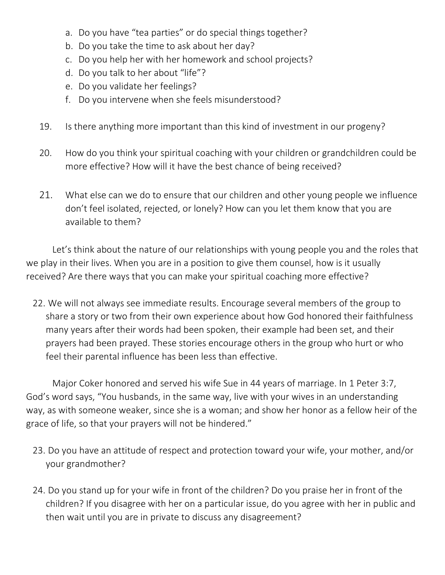- a. Do you have "tea parties" or do special things together?
- b. Do you take the time to ask about her day?
- c. Do you help her with her homework and school projects?
- d. Do you talk to her about "life"?
- e. Do you validate her feelings?
- f. Do you intervene when she feels misunderstood?
- 19. Is there anything more important than this kind of investment in our progeny?
- 20. How do you think your spiritual coaching with your children or grandchildren could be more effective? How will it have the best chance of being received?
- 21. What else can we do to ensure that our children and other young people we influence don't feel isolated, rejected, or lonely? How can you let them know that you are available to them?

Let's think about the nature of our relationships with young people you and the roles that we play in their lives. When you are in a position to give them counsel, how is it usually received? Are there ways that you can make your spiritual coaching more effective?

22. We will not always see immediate results. Encourage several members of the group to share a story or two from their own experience about how God honored their faithfulness many years after their words had been spoken, their example had been set, and their prayers had been prayed. These stories encourage others in the group who hurt or who feel their parental influence has been less than effective.

Major Coker honored and served his wife Sue in 44 years of marriage. In 1 Peter 3:7, God's word says, "You husbands, in the same way, live with your wives in an understanding way, as with someone weaker, since she is a woman; and show her honor as a fellow heir of the grace of life, so that your prayers will not be hindered."

- 23. Do you have an attitude of respect and protection toward your wife, your mother, and/or your grandmother?
- 24. Do you stand up for your wife in front of the children? Do you praise her in front of the children? If you disagree with her on a particular issue, do you agree with her in public and then wait until you are in private to discuss any disagreement?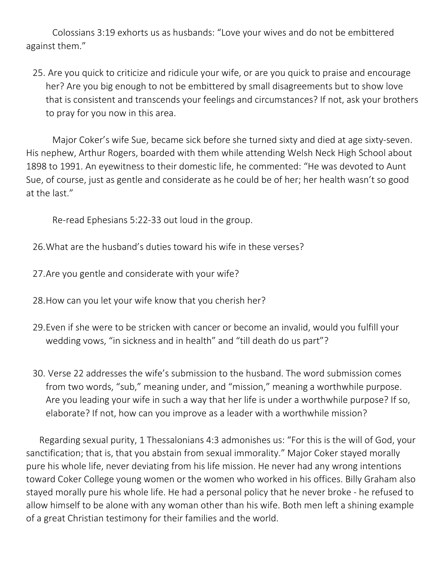Colossians 3:19 exhorts us as husbands: "Love your wives and do not be embittered against them."

25. Are you quick to criticize and ridicule your wife, or are you quick to praise and encourage her? Are you big enough to not be embittered by small disagreements but to show love that is consistent and transcends your feelings and circumstances? If not, ask your brothers to pray for you now in this area.

Major Coker's wife Sue, became sick before she turned sixty and died at age sixty-seven. His nephew, Arthur Rogers, boarded with them while attending Welsh Neck High School about 1898 to 1991. An eyewitness to their domestic life, he commented: "He was devoted to Aunt Sue, of course, just as gentle and considerate as he could be of her; her health wasn't so good at the last."

Re-read Ephesians 5:22-33 out loud in the group.

26.What are the husband's duties toward his wife in these verses?

27.Are you gentle and considerate with your wife?

28.How can you let your wife know that you cherish her?

- 29.Even if she were to be stricken with cancer or become an invalid, would you fulfill your wedding vows, "in sickness and in health" and "till death do us part"?
- 30. Verse 22 addresses the wife's submission to the husband. The word submission comes from two words, "sub," meaning under, and "mission," meaning a worthwhile purpose. Are you leading your wife in such a way that her life is under a worthwhile purpose? If so, elaborate? If not, how can you improve as a leader with a worthwhile mission?

Regarding sexual purity, 1 Thessalonians 4:3 admonishes us: "For this is the will of God, your sanctification; that is, that you abstain from sexual immorality." Major Coker stayed morally pure his whole life, never deviating from his life mission. He never had any wrong intentions toward Coker College young women or the women who worked in his offices. Billy Graham also stayed morally pure his whole life. He had a personal policy that he never broke - he refused to allow himself to be alone with any woman other than his wife. Both men left a shining example of a great Christian testimony for their families and the world.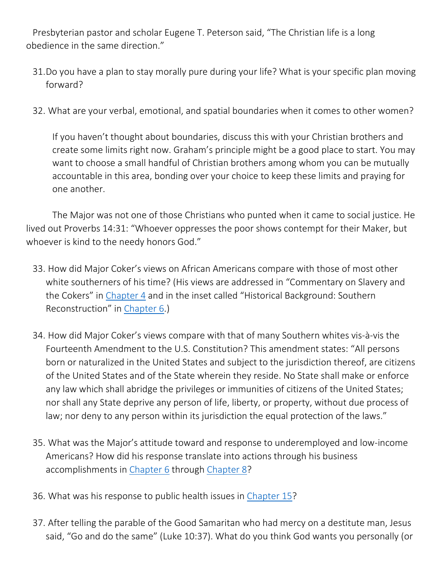Presbyterian pastor and scholar Eugene T. Peterson said, "The Christian life is a long obedience in the same direction."

- 31.Do you have a plan to stay morally pure during your life? What is your specific plan moving forward?
- 32. What are your verbal, emotional, and spatial boundaries when it comes to other women?

If you haven't thought about boundaries, discuss this with your Christian brothers and create some limits right now. Graham's principle might be a good place to start. You may want to choose a small handful of Christian brothers among whom you can be mutually accountable in this area, bonding over your choice to keep these limits and praying for one another.

The Major was not one of those Christians who punted when it came to social justice. He lived out Proverbs 14:31: "Whoever oppresses the poor shows contempt for their Maker, but whoever is kind to the needy honors God."

- 33. How did Major Coker's views on African Americans compare with those of most other white southerners of his time? (His views are addressed in "Commentary on Slavery and the Cokers" in Chapter 4 and in the inset called "Historical Background: Southern Reconstruction" in Chapter 6.)
- 34. How did Major Coker's views compare with that of many Southern whites vis-à-vis the Fourteenth Amendment to the U.S. Constitution? This amendment states: "All persons born or naturalized in the United States and subject to the jurisdiction thereof, are citizens of the United States and of the State wherein they reside. No State shall make or enforce any law which shall abridge the privileges or immunities of citizens of the United States; nor shall any State deprive any person of life, liberty, or property, without due process of law; nor deny to any person within its jurisdiction the equal protection of the laws."
- 35. What was the Major's attitude toward and response to underemployed and low-income Americans? How did his response translate into actions through his business accomplishments in Chapter 6 through Chapter 8?
- 36. What was his response to public health issues in Chapter 15?
- 37. After telling the parable of the Good Samaritan who had mercy on a destitute man, Jesus said, "Go and do the same" (Luke 10:37). What do you think God wants you personally (or